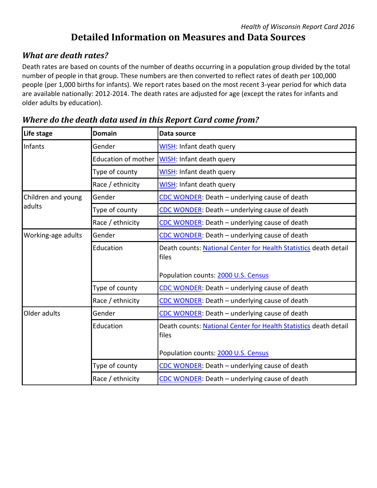# **Detailed Information on Measures and Data Sources**

#### *What are death rates?*

Death rates are based on counts of the number of deaths occurring in a population group divided by the total number of people in that group. These numbers are then converted to reflect rates of death per 100,000 people (per 1,000 births for infants). We report rates based on the most recent 3-year period for which data are available nationally: 2012-2014. The death rates are adjusted for age (except the rates for infants and older adults by education).

| Life stage                   | <b>Domain</b>              | Data source                                                               |
|------------------------------|----------------------------|---------------------------------------------------------------------------|
| Infants                      | Gender                     | <b>WISH: Infant death query</b>                                           |
|                              | <b>Education of mother</b> | <b>WISH: Infant death query</b>                                           |
|                              | Type of county             | WISH: Infant death query                                                  |
|                              | Race / ethnicity           | <b>WISH: Infant death query</b>                                           |
| Children and young<br>adults | Gender                     | CDC WONDER: Death - underlying cause of death                             |
|                              | Type of county             | CDC WONDER: Death - underlying cause of death                             |
|                              | Race / ethnicity           | CDC WONDER: Death - underlying cause of death                             |
| Working-age adults           | Gender                     | CDC WONDER: Death - underlying cause of death                             |
|                              | Education                  | Death counts: National Center for Health Statistics death detail<br>files |
|                              |                            | Population counts: 2000 U.S. Census                                       |
|                              | Type of county             | CDC WONDER: Death - underlying cause of death                             |
|                              | Race / ethnicity           | CDC WONDER: Death - underlying cause of death                             |
| Older adults                 | Gender                     | CDC WONDER: Death - underlying cause of death                             |
|                              | Education                  | Death counts: National Center for Health Statistics death detail<br>files |
|                              |                            | Population counts: 2000 U.S. Census                                       |
|                              | Type of county             | CDC WONDER: Death - underlying cause of death                             |
|                              | Race / ethnicity           | CDC WONDER: Death - underlying cause of death                             |

#### *Where do the death data used in this Report Card come from?*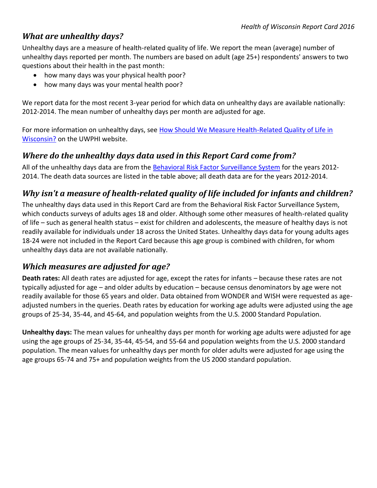#### *What are unhealthy days?*

Unhealthy days are a measure of health-related quality of life. We report the mean (average) number of unhealthy days reported per month. The numbers are based on adult (age 25+) respondents' answers to two questions about their health in the past month:

- how many days was your physical health poor?
- how many days was your mental health poor?

We report data for the most recent 3-year period for which data on unhealthy days are available nationally: 2012-2014. The mean number of unhealthy days per month are adjusted for age.

For more information on unhealthy days, see [How Should We Measure Health-Related Quality of Life in](http://uwphi.pophealth.wisc.edu/publications/other/briefReportv01n01.pdf)  [Wisconsin?](http://uwphi.pophealth.wisc.edu/publications/other/briefReportv01n01.pdf) on the UWPHI website.

## *Where do the unhealthy days data used in this Report Card come from?*

All of the unhealthy days data are from the [Behavioral Risk Factor Surveillance System](http://www.cdc.gov/brfss) for the years 2012- 2014. The death data sources are listed in the table above; all death data are for the years 2012-2014.

## *Why isn't a measure of health-related quality of life included for infants and children?*

The unhealthy days data used in this Report Card are from the Behavioral Risk Factor Surveillance System, which conducts surveys of adults ages 18 and older. Although some other measures of health-related quality of life – such as general health status – exist for children and adolescents, the measure of healthy days is not readily available for individuals under 18 across the United States. Unhealthy days data for young adults ages 18-24 were not included in the Report Card because this age group is combined with children, for whom unhealthy days data are not available nationally.

## *Which measures are adjusted for age?*

**Death rates:** All death rates are adjusted for age, except the rates for infants – because these rates are not typically adjusted for age – and older adults by education – because census denominators by age were not readily available for those 65 years and older. Data obtained from WONDER and WISH were requested as ageadjusted numbers in the queries. Death rates by education for working age adults were adjusted using the age groups of 25-34, 35-44, and 45-64, and population weights from the U.S. 2000 Standard Population.

**Unhealthy days:** The mean values for unhealthy days per month for working age adults were adjusted for age using the age groups of 25-34, 35-44, 45-54, and 55-64 and population weights from the U.S. 2000 standard population. The mean values for unhealthy days per month for older adults were adjusted for age using the age groups 65-74 and 75+ and population weights from the US 2000 standard population.